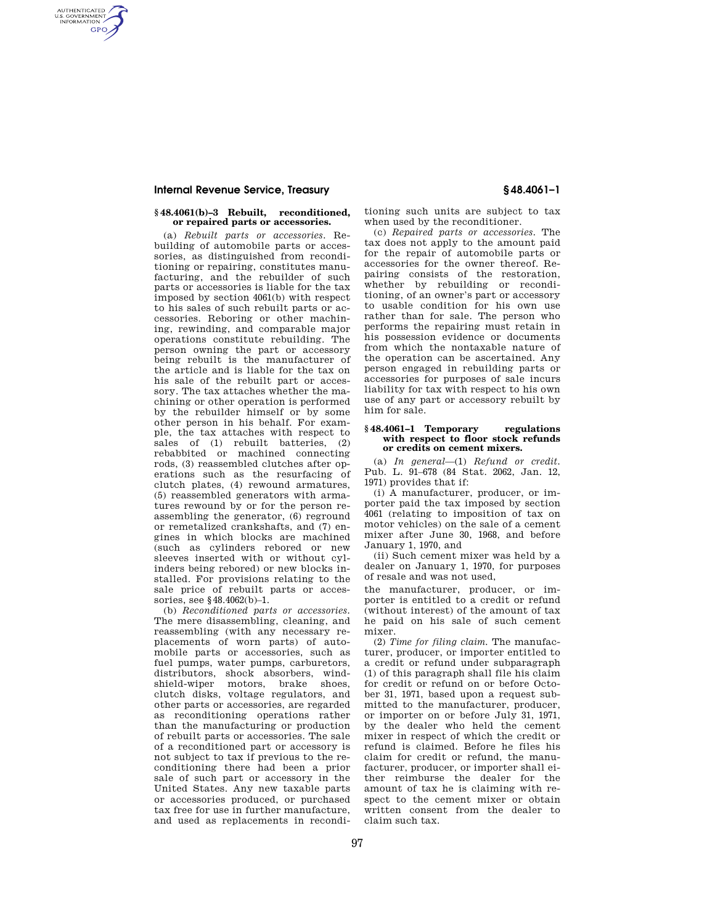# **Internal Revenue Service, Treasury § 48.4061–1**

AUTHENTICATED<br>U.S. GOVERNMENT<br>INFORMATION **GPO** 

# **§ 48.4061(b)–3 Rebuilt, reconditioned, or repaired parts or accessories.**

(a) *Rebuilt parts or accessories.* Rebuilding of automobile parts or accessories, as distinguished from reconditioning or repairing, constitutes manufacturing, and the rebuilder of such parts or accessories is liable for the tax imposed by section 4061(b) with respect to his sales of such rebuilt parts or accessories. Reboring or other machining, rewinding, and comparable major operations constitute rebuilding. The person owning the part or accessory being rebuilt is the manufacturer of the article and is liable for the tax on his sale of the rebuilt part or accessory. The tax attaches whether the machining or other operation is performed by the rebuilder himself or by some other person in his behalf. For example, the tax attaches with respect to sales of (1) rebuilt batteries, (2) rebabbited or machined connecting rods, (3) reassembled clutches after operations such as the resurfacing of clutch plates, (4) rewound armatures, (5) reassembled generators with armatures rewound by or for the person reassembling the generator, (6) reground or remetalized crankshafts, and (7) engines in which blocks are machined (such as cylinders rebored or new sleeves inserted with or without cylinders being rebored) or new blocks installed. For provisions relating to the sale price of rebuilt parts or accessories, see §48.4062(b)–1.

(b) *Reconditioned parts or accessories.*  The mere disassembling, cleaning, and reassembling (with any necessary replacements of worn parts) of automobile parts or accessories, such as fuel pumps, water pumps, carburetors, distributors, shock absorbers, windshield-wiper motors, brake shoes, clutch disks, voltage regulators, and other parts or accessories, are regarded as reconditioning operations rather than the manufacturing or production of rebuilt parts or accessories. The sale of a reconditioned part or accessory is not subject to tax if previous to the reconditioning there had been a prior sale of such part or accessory in the United States. Any new taxable parts or accessories produced, or purchased tax free for use in further manufacture, and used as replacements in recondi-

tioning such units are subject to tax when used by the reconditioner.

(c) *Repaired parts or accessories.* The tax does not apply to the amount paid for the repair of automobile parts or accessories for the owner thereof. Repairing consists of the restoration, whether by rebuilding or reconditioning, of an owner's part or accessory to usable condition for his own use rather than for sale. The person who performs the repairing must retain in his possession evidence or documents from which the nontaxable nature of the operation can be ascertained. Any person engaged in rebuilding parts or accessories for purposes of sale incurs liability for tax with respect to his own use of any part or accessory rebuilt by him for sale.

### **§ 48.4061–1 Temporary regulations with respect to floor stock refunds or credits on cement mixers.**

(a) *In general*—(1) *Refund or credit.*  Pub. L. 91–678 (84 Stat. 2062, Jan. 12, 1971) provides that if:

(i) A manufacturer, producer, or importer paid the tax imposed by section 4061 (relating to imposition of tax on motor vehicles) on the sale of a cement mixer after June 30, 1968, and before January 1, 1970, and

(ii) Such cement mixer was held by a dealer on January 1, 1970, for purposes of resale and was not used,

the manufacturer, producer, or importer is entitled to a credit or refund (without interest) of the amount of tax he paid on his sale of such cement mixer.

(2) *Time for filing claim.* The manufacturer, producer, or importer entitled to a credit or refund under subparagraph (1) of this paragraph shall file his claim for credit or refund on or before October 31, 1971, based upon a request submitted to the manufacturer, producer, or importer on or before July 31, 1971, by the dealer who held the cement mixer in respect of which the credit or refund is claimed. Before he files his claim for credit or refund, the manufacturer, producer, or importer shall either reimburse the dealer for the amount of tax he is claiming with respect to the cement mixer or obtain written consent from the dealer to claim such tax.